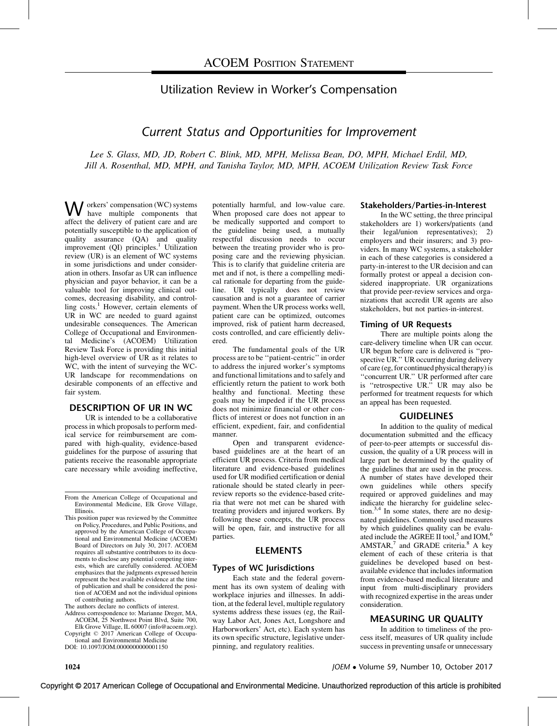## Utilization Review in Worker's Compensation

# Current Status and Opportunities for Improvement

Lee S. Glass, MD, JD, Robert C. Blink, MD, MPH, Melissa Bean, DO, MPH, Michael Erdil, MD, Jill A. Rosenthal, MD, MPH, and Tanisha Taylor, MD, MPH, ACOEM Utilization Review Task Force

W orkers' compensation (WC) systems<br>
that<br>  $\mathcal{L}$  that is interesting that affect the delivery of patient care and are potentially susceptible to the application of quality assurance (QA) and quality improvement (QI) principles.<sup>[1](#page-1-0)</sup> Utilization review (UR) is an element of WC systems in some jurisdictions and under consideration in others. Insofar as UR can influence physician and payor behavior, it can be a valuable tool for improving clinical outcomes, decreasing disability, and control-ling costs.<sup>[1](#page-1-0)</sup> However, certain elements of UR in WC are needed to guard against undesirable consequences. The American College of Occupational and Environmental Medicine's (ACOEM) Utilization Review Task Force is providing this initial high-level overview of UR as it relates to WC, with the intent of surveying the WC-UR landscape for recommendations on desirable components of an effective and fair system.

## DESCRIPTION OF UR IN WC

UR is intended to be a collaborative process in which proposals to perform medical service for reimbursement are compared with high-quality, evidence-based guidelines for the purpose of assuring that patients receive the reasonable appropriate care necessary while avoiding ineffective,

- Address correspondence to: Marianne Dreger, MA, ACOEM, 25 Northwest Point Blvd, Suite 700, Elk Grove Village, IL 60007 ([info@acoem.org](mailto:info@acoem.org)).
- Copyright © 2017 American College of Occupational and Environmental Medicine

DOI: 10.1097/JOM.0000000000001150

potentially harmful, and low-value care. When proposed care does not appear to be medically supported and comport to the guideline being used, a mutually respectful discussion needs to occur between the treating provider who is proposing care and the reviewing physician. This is to clarify that guideline criteria are met and if not, is there a compelling medical rationale for departing from the guideline. UR typically does not review causation and is not a guarantee of carrier payment. When the UR process works well, patient care can be optimized, outcomes improved, risk of patient harm decreased, costs controlled, and care efficiently delivered.

The fundamental goals of the UR process are to be ''patient-centric'' in order to address the injured worker's symptoms and functional limitations and to safely and efficiently return the patient to work both healthy and functional. Meeting these goals may be impeded if the UR process does not minimize financial or other conflicts of interest or does not function in an efficient, expedient, fair, and confidential manner.

Open and transparent evidencebased guidelines are at the heart of an efficient UR process. Criteria from medical literature and evidence-based guidelines used for UR modified certification or denial rationale should be stated clearly in peerreview reports so the evidence-based criteria that were not met can be shared with treating providers and injured workers. By following these concepts, the UR process will be open, fair, and instructive for all parties.

## ELEMENTS

#### Types of WC Jurisdictions

Each state and the federal government has its own system of dealing with workplace injuries and illnesses. In addition, at the federal level, multiple regulatory systems address these issues (eg, the Railway Labor Act, Jones Act, Longshore and Harborworkers' Act, etc). Each system has its own specific structure, legislative underpinning, and regulatory realities.

#### Stakeholders/Parties-in-Interest

In the WC setting, the three principal stakeholders are 1) workers/patients (and their legal/union representatives); 2) employers and their insurers; and 3) providers. In many WC systems, a stakeholder in each of these categories is considered a party-in-interest to the UR decision and can formally protest or appeal a decision considered inappropriate. UR organizations that provide peer-review services and organizations that accredit UR agents are also stakeholders, but not parties-in-interest.

#### Timing of UR Requests

There are multiple points along the care-delivery timeline when UR can occur. UR begun before care is delivered is ''prospective UR.'' UR occurring during delivery of care (eg, for continued physical therapy) is ''concurrent UR.'' UR performed after care is ''retrospective UR.'' UR may also be performed for treatment requests for which an appeal has been requested.

#### GUIDELINES

In addition to the quality of medical documentation submitted and the efficacy of peer-to-peer attempts or successful discussion, the quality of a UR process will in large part be determined by the quality of the guidelines that are used in the process. A number of states have developed their own guidelines while others specify required or approved guidelines and may indicate the hierarchy for guideline selection.<sup>3,4</sup> In some states, there are no designated guidelines. Commonly used measures by which guidelines quality can be evaluated include the AGREE II tool,<sup>5</sup> and IOM,<sup>6</sup>  $AMSTAR$ ,<sup>[7](#page-2-0)</sup> and GRADE criteria.<sup>8</sup> A key element of each of these criteria is that guidelines be developed based on bestavailable evidence that includes information from evidence-based medical literature and input from multi-disciplinary providers with recognized expertise in the areas under consideration.

## MEASURING UR QUALITY

In addition to timeliness of the process itself, measures of UR quality include success in preventing unsafe or unnecessary

From the American College of Occupational and Environmental Medicine, Elk Grove Village, Illinois.

This position paper was reviewed by the Committee on Policy, Procedures, and Public Positions, and approved by the American College of Occupational and Environmental Medicine (ACOEM) Board of Directors on July 30, 2017. ACOEM requires all substantive contributors to its documents to disclose any potential competing interests, which are carefully considered. ACOEM emphasizes that the judgments expressed herein represent the best available evidence at the time of publication and shall be considered the position of ACOEM and not the individual opinions of contributing authors.

The authors declare no conflicts of interest.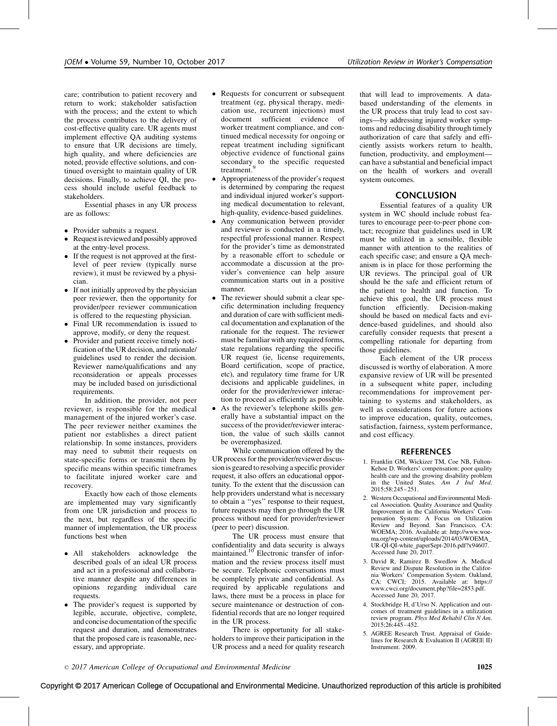<span id="page-1-0"></span>care; contribution to patient recovery and return to work; stakeholder satisfaction with the process; and the extent to which the process contributes to the delivery of cost-effective quality care. UR agents must implement effective QA auditing systems to ensure that UR decisions are timely, high quality, and where deficiencies are noted, provide effective solutions, and continued oversight to maintain quality of UR decisions. Finally, to achieve QI, the process should include useful feedback to stakeholders.

Essential phases in any UR process are as follows:

- Provider submits a request.
- Requestis reviewed and possibly approved at the entry-level process.
- $\bullet$  If the request is not approved at the firstlevel of peer review (typically nurse review), it must be reviewed by a physician.
- If not initially approved by the physician peer reviewer, then the opportunity for provider/peer reviewer communication is offered to the requesting physician.
- Final UR recommendation is issued to approve, modify, or deny the request.
- Provider and patient receive timely notification of the UR decision, and rationale/ guidelines used to render the decision. Reviewer name/qualifications and any reconsideration or appeals processes may be included based on jurisdictional requirements.

In addition, the provider, not peer reviewer, is responsible for the medical management of the injured worker's case. The peer reviewer neither examines the patient nor establishes a direct patient relationship. In some instances, providers may need to submit their requests on state-specific forms or transmit them by specific means within specific timeframes to facilitate injured worker care and recovery.

Exactly how each of those elements are implemented may vary significantly from one UR jurisdiction and process to the next, but regardless of the specific manner of implementation, the UR process functions best when

- All stakeholders acknowledge the described goals of an ideal UR process and act in a professional and collaborative manner despite any differences in opinions regarding individual care requests.
- The provider's request is supported by legible, accurate, objective, complete, and concise documentation of the specific request and duration, and demonstrates that the proposed care is reasonable, necessary, and appropriate.
- Requests for concurrent or subsequent treatment (eg, physical therapy, medication use, recurrent injections) must document sufficient evidence of worker treatment compliance, and continued medical necessity for ongoing or repeat treatment including significant objective evidence of functional gains secondary to the specific requested treatment.<sup>[9](#page-2-0)</sup>
- $\bullet$  Appropriateness of the provider's request is determined by comparing the request and individual injured worker's supporting medical documentation to relevant, high-quality, evidence-based guidelines.
- $\bullet$  Any communication between provider and reviewer is conducted in a timely, respectful professional manner. Respect for the provider's time as demonstrated by a reasonable effort to schedule or accommodate a discussion at the provider's convenience can help assure communication starts out in a positive manner.
- $\bullet$  The reviewer should submit a clear specific determination including frequency and duration of care with sufficient medical documentation and explanation of the rationale for the request. The reviewer must be familiar with any required forms, state regulations regarding the specific UR request (ie, license requirements, Board certification, scope of practice, etc), and regulatory time frame for UR decisions and applicable guidelines, in order for the provider/reviewer interaction to proceed as efficiently as possible.
- As the reviewer's telephone skills generally have a substantial impact on the success of the provider/reviewer interaction, the value of such skills cannot be overemphasized.

While communication offered by the UR process for the provider/reviewer discussion is geared to resolving a specific provider request, it also offers an educational opportunity. To the extent that the discussion can help providers understand what is necessary to obtain a ''yes'' response to their request, future requests may then go through the UR process without need for provider/reviewer (peer to peer) discussion.

The UR process must ensure that confidentiality and data security is always maintained.<sup>[10](#page-2-0)</sup> Electronic transfer of information and the review process itself must be secure. Telephonic conversations must be completely private and confidential. As required by applicable regulations and laws, there must be a process in place for secure maintenance or destruction of confidential records that are no longer required in the UR process.

There is opportunity for all stakeholders to improve their participation in the UR process and a need for quality research that will lead to improvements. A databased understanding of the elements in the UR process that truly lead to cost savings—by addressing injured worker symptoms and reducing disability through timely authorization of care that safely and efficiently assists workers return to health, function, productivity, and employment can have a substantial and beneficial impact on the health of workers and overall system outcomes.

## **CONCLUSION**

Essential features of a quality UR system in WC should include robust features to encourage peer-to-peer phone contact; recognize that guidelines used in UR must be utilized in a sensible, flexible manner with attention to the realities of each specific case; and ensure a QA mechanism is in place for those performing the UR reviews. The principal goal of UR should be the safe and efficient return of the patient to health and function. To achieve this goal, the UR process must function efficiently. Decision-making should be based on medical facts and evidence-based guidelines, and should also carefully consider requests that present a compelling rationale for departing from those guidelines.

Each element of the UR process discussed is worthy of elaboration. A more expansive review of UR will be presented in a subsequent white paper, including recommendations for improvement pertaining to systems and stakeholders, as well as considerations for future actions to improve education, quality, outcomes, satisfaction, fairness, system performance, and cost efficacy.

#### **REFERENCES**

- 1. Franklin GM, Wickizer TM, Coe NB, Fulton-Kehoe D. Workers' compensation: poor quality health care and the growing disability problem in the United States. Am J Ind Med. 2015;58:245–251.
- 2. Western Occupational and Environmental Medical Association. Quality Assurance and Quality Improvement in the California Workers' Compensation System: A Focus on Utilization Review and Beyond. San Francisco, CA: WOEMA; 2016. Available at: [http://www.woe](http://www.woema.org/wp-content/uploads/2014/03/WOEMA_UR-QI-QI-white_paperSept-2016.pdf?x94607)[ma.org/wp-content/uploads/2014/03/WOEMA\\_](http://www.woema.org/wp-content/uploads/2014/03/WOEMA_UR-QI-QI-white_paperSept-2016.pdf?x94607) [UR-QI-QI-white\\_paperSept-2016.pdf?x94607.](http://www.woema.org/wp-content/uploads/2014/03/WOEMA_UR-QI-QI-white_paperSept-2016.pdf?x94607) [Accessed June 20, 2017.](http://www.woema.org/wp-content/uploads/2014/03/WOEMA_UR-QI-QI-white_paperSept-2016.pdf?x94607)
- 3. David R, Ramirez B. Swedlow A. Medical Review and Dispute Resolution in the California Workers' Compensation System. Oakland, CA: CWCI; 2015. Available at: [https://](https://www.cwci.org/document.php?file=2853.pdf) [www.cwci.org/document.php?file=2853.pdf.](https://www.cwci.org/document.php?file=2853.pdf) [Accessed June 20, 2017.](https://www.cwci.org/document.php?file=2853.pdf)
- 4. Stockbridge H, d'Urso N. Application and outcomes of treatment guidelines in a utilization review program. Phys Med Rehabil Clin N Am. 2015;26:445–452.
- 5. AGREE Research Trust. Appraisal of Guidelines for Research & Evaluation II (AGREE II) Instrument. 2009.